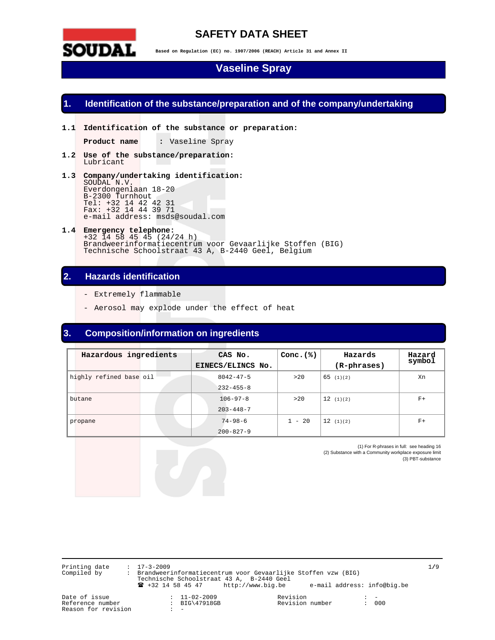

## **SAFETY DATA SHEET**

**Based on Regulation (EC) no. 1907/2006 (REACH) Article 31 and Annex II** 

## **Vaseline Spray**

### **1. Identification of the substance/preparation and of the company/undertaking**

**1.1 Identification of the substance or preparation:** 

**Product name :** Vaseline Spray

- **1.2 Use of the substance/preparation:**  Lubricant
- **1.3 Company/undertaking identification:**  SOUDAL N.V. Everdongenlaan 18-20 B-2300 Turnhout Tel: +32 14 42 42 31 Fax: +32 14 44 39 71 e-mail address: msds@soudal.com
- **1.4 Emergency telephone:**  +32 14 58 45 45 (24/24 h) Brandweerinformatiecentrum voor Gevaarlijke Stoffen (BIG) Technische Schoolstraat 43 A, B-2440 Geel, Belgium

## **2. Hazards identification**

- Extremely flammable
- Aerosol may explode under the effect of heat

## **3. Composition/information on ingredients**

| Hazardous ingredients   | CAS No.           | Conc. $(%)$ | Hazards     | Hazard<br>symbol |
|-------------------------|-------------------|-------------|-------------|------------------|
|                         | EINECS/ELINCS No. |             | (R-phrases) |                  |
| highly refined base oil | $8042 - 47 - 5$   | >20         | 65(1)(2)    | Xn               |
|                         | $232 - 455 - 8$   |             |             |                  |
| butane                  | $106 - 97 - 8$    | >20         | 12(1)(2)    | $F+$             |
|                         | $203 - 448 - 7$   |             |             |                  |
| propane                 | $74 - 98 - 6$     | $1 - 20$    | 12(1)(2)    | $F+$             |
|                         | $200 - 827 - 9$   |             |             |                  |

(1) For R-phrases in full: see heading 16 (2) Substance with a Community workplace exposure limit (3) PBT-substance

Printing date : 17-3-2009 1**/**9 Compiled by : Brandweerinformatiecentrum voor Gevaarlijke Stoffen vzw (BIG) Technische Schoolstraat 43 A, B-2440 Geel ! +32 14 58 45 47 http://www.big.be e-mail address: info@big.be

Reference number :<br>Reason for revision : 000 Reason for revision

Date of issue : 11-02-2009 Revision : -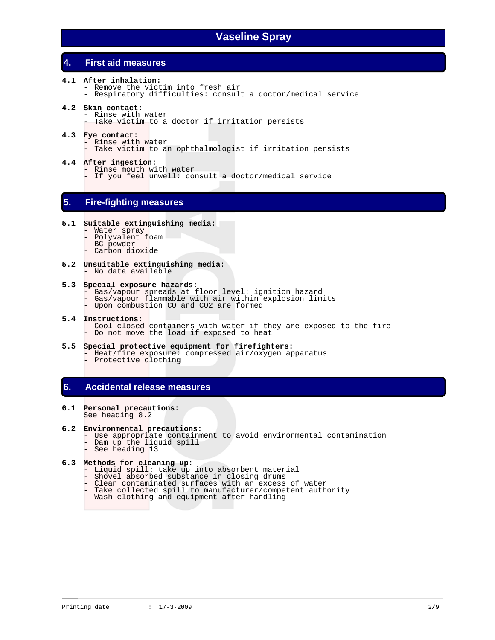## **4. First aid measures**

- **4.1 After inhalation:**  - Remove the victim into fresh air - Respiratory difficulties: consult a doctor/medical service
- **4.2 Skin contact:** 
	- Rinse with water - Take victim to a doctor if irritation persists
- **4.3 Eye contact:**  - Rinse with water - Take victim to an ophthalmologist if irritation persists
- **4.4 After ingestion:**  - Rinse mouth with water
	- If you feel unwell: consult a doctor/medical service

## **5. Fire-fighting measures**

### **5.1 Suitable extinguishing media:**

- Water spray
- Polyvalent foam
- BC powder
- Carbon dioxide
- **5.2 Unsuitable extinguishing media:**  - No data available

#### **5.3 Special exposure hazards:**

- Gas/vapour spreads at floor level: ignition hazard
- Gas/vapour flammable with air within explosion limits
- Upon combustion CO and CO2 are formed

### **5.4 Instructions:**

- Cool closed containers with water if they are exposed to the fire - Do not move the load if exposed to heat
- **5.5 Special protective equipment for firefighters:**
- Heat/fire exposure: compressed air/oxygen apparatus - Protective clothing

## **6. Accidental release measures**

**6.1 Personal precautions:**  See heading 8.2

### **6.2 Environmental precautions:**

- Use appropriate containment to avoid environmental contamination
- Dam up the liquid spill
- See heading 13

## **6.3 Methods for cleaning up:**

- Liquid spill: take up into absorbent material
- Shovel absorbed substance in closing drums
	- Clean contaminated surfaces with an excess of water
	- Take collected spill to manufacturer/competent authority
	- Wash clothing and equipment after handling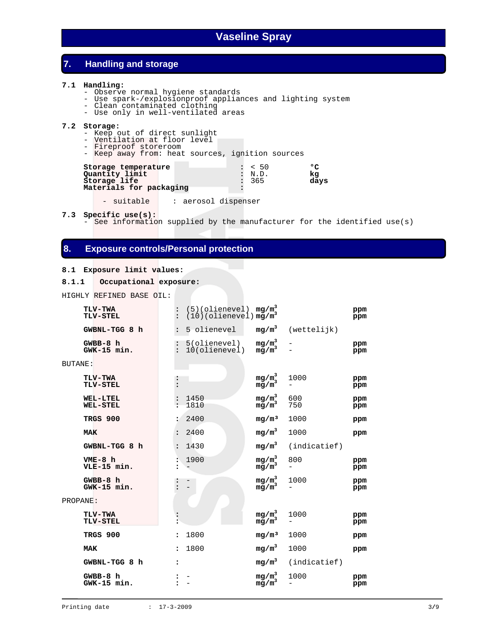## **7. Handling and storage**

#### **7.1 Handling:**

- Observe normal hygiene standards
- Use spark-/explosionproof appliances and lighting system
- Clean contaminated clothing
	- Use only in well-ventilated areas

### **7.2 Storage:**

- Keep out of direct sunlight
- Ventilation at floor level
	- Fireproof storeroom
	- Keep away from: heat sources, ignition sources

| Storage temperature     | : 50        | $\sigma$ |
|-------------------------|-------------|----------|
|                         |             |          |
| Quantity limit          | : N.D.      | kα       |
| Storage life            | $\cdot$ 365 | davs     |
| Materials for packaging |             |          |

- suitable | : aerosol dispenser

**7.3 Specific use(s):**

- See information supplied by the manufacturer for the identified use(s)

### **8. Exposure controls/Personal protection**

### **8.1 Exposure limit values:**

```
8.1.1 Occupational exposure:
```
HIGHLY REFINED BASE OIL:

|          | <b>TLV-TWA</b><br><b>TLV-STEL</b>  |                                          | $(5)(\text{olience1})$<br>$(10)(\text{olience1})$ mg/m <sup>3</sup> | $mg/m^3$                                   |                                 | ppm<br>ppm |
|----------|------------------------------------|------------------------------------------|---------------------------------------------------------------------|--------------------------------------------|---------------------------------|------------|
|          | GWBNL-TGG 8 h                      | $\ddot{\cdot}$                           | 5 olienevel                                                         |                                            | $mg/m3$ (wettelijk)             |            |
|          | $GWBB-8$ h<br>GWK-15 min.          | $\vdots$                                 | 5(olienevel)<br>10(olienevel)                                       | mg/m <sub>2</sub> <sup>3</sup><br>$mg/m^3$ |                                 | ppm<br>ppm |
| BUTANE:  |                                    |                                          |                                                                     |                                            |                                 |            |
|          | <b>TLV-TWA</b><br>TLV-STEL         |                                          |                                                                     | mg/m <sub>2</sub> <sup>3</sup><br>$mg/m^3$ | 1000                            | ppm<br>ppm |
|          | <b>WEL-LTEL</b><br><b>WEL-STEL</b> |                                          | 1450<br>1810                                                        | $mg/m^3$<br>mg/m <sup>3</sup>              | 600<br>750                      | ppm<br>ppm |
|          | TRGS 900                           |                                          | 2400                                                                | mg/m <sup>3</sup>                          | 1000                            | ppm        |
|          | MAK                                | $\ddot{\cdot}$                           | 2400                                                                | mg/m <sup>3</sup>                          | 1000                            | ppm        |
|          | GWBNL-TGG 8 h                      | $\ddot{\phantom{a}}$                     | 1430                                                                | $mg/m^3$                                   | (indicate f)                    |            |
|          | $VME-8$ h<br>VLE-15 min.           | $\ddot{\bullet}$<br>$\ddot{\phantom{a}}$ | 1900                                                                | $mg/m^3$<br>mg/m <sup>3</sup>              | 800<br>$\overline{\phantom{0}}$ | ppm<br>ppm |
|          | $GWBB-8 h$<br>$GWK-15 min.$        |                                          |                                                                     | mg/m <sub>3</sub> <sup>3</sup><br>$mg/m^3$ | 1000                            | ppm<br>ppm |
| PROPANE: |                                    |                                          |                                                                     |                                            |                                 |            |
|          | <b>TLV-TWA</b><br>TLV-STEL         |                                          |                                                                     | mg/m <sub>s</sub> <sup>3</sup><br>$mg/m^3$ | 1000                            | ppm<br>ppm |
|          | TRGS 900                           | $\ddot{\phantom{a}}$                     | 1800                                                                | mq/m <sup>3</sup>                          | 1000                            | ppm        |
|          | <b>MAK</b>                         | $\ddot{\phantom{a}}$                     | 1800                                                                | $mg/m^3$                                   | 1000                            | ppm        |
|          | GWBNL-TGG 8 h                      | :                                        |                                                                     | $mg/m^3$                                   | (indicatief)                    |            |
|          | $GWBB-8h$<br>GWK-15 min.           |                                          |                                                                     | $mg/m^3$<br>$mg/m^3$                       | 1000                            | ppm<br>ppm |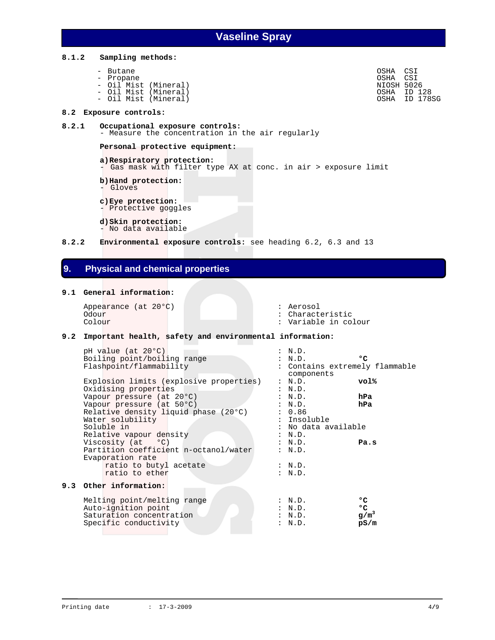**8.1.2 Sampling methods:** 

```
- Butane OSHA CSI 
- Propane OSHA CSI 
- Oil Mist (Mineral)<br>- Oil Mist (Mineral) NIOSH 5026<br>- Oil Mist (Mineral) Nicolary South 10 128<br>- Oil Mist (Mineral)
- Oil Mist (Mineral) OSHA ID 128
- Oil Mist (Mineral) OSHA ID 178SG
```
#### **8.2 Exposure controls:**

- **8.2.1 Occupational exposure controls:**  - Measure the concentration in the air regularly  **Personal protective equipment:**
- **a) Respiratory protection:**  - Gas mask with filter type AX at conc. in air > exposure limit

 **b) Hand protection:**  - Gloves

- 
- **c) Eye protection:**

- Protective goggles

 **d) Skin protection:**  - No data available

**8.2.2 Environmental exposure controls:** see heading 6.2, 6.3 and 13

## **9. Physical and chemical properties**

### **9.1 General information:**

Appearance (at 20°C) : Aerosol : Aerosol : Aerosol : Aerosol : Aerosol : Aerosol : Characte Odour : Characteristic<br>
Colour : Characteristic<br>
Colour : Variable in co

: Variable in colour

### **9.2 Important health, safety and environmental information:**

| pH value (at 20°C)                      | : N.D.                         |              |
|-----------------------------------------|--------------------------------|--------------|
| Boiling point/boiling range             | : N.D.                         | $^{\circ}$ C |
| Flashpoint/flammability                 | : Contains extremely flammable |              |
|                                         | components                     |              |
| Explosion limits (explosive properties) | : N.D.                         | vol%         |
| Oxidising properties                    | : N.D.                         |              |
| Vapour pressure (at 20°C)               | : N.D.                         | hPa          |
| Vapour pressure (at 50°C)               | : N.D.                         | hPa          |
| Relative density liquid phase (20°C)    | : 0.86                         |              |
| Water solubility                        | : Insoluble                    |              |
| Soluble in                              | : No data available            |              |
| Relative vapour density                 | : N.D.                         |              |
| Viscosity $(at \t oC)$                  | : N.D.                         | Pa.s         |
| Partition coefficient n-octanol/water   | : N.D.                         |              |
|                                         |                                |              |
| Evaporation rate                        |                                |              |
| ratio to butyl acetate                  | : N.D.                         |              |
| ratio to ether                          | : N.D.                         |              |
| 9.3 Other information:                  |                                |              |
|                                         |                                |              |
| Melting point/melting range             | : N.D.                         | $^{\circ}$ C |
| Auto-ignition point                     | : N.D.                         | ۰c           |
| Saturation concentration                | : N.D.                         | $g/m^3$      |
| Specific conductivity                   | : N.D.                         | pS/m         |
|                                         |                                |              |

**9.3**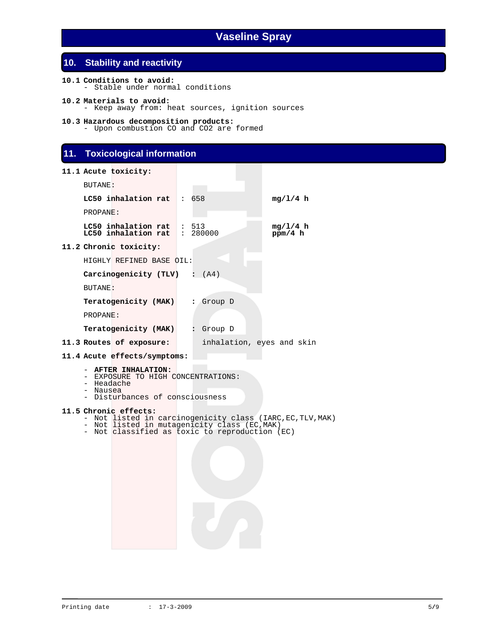## **10. Stability and reactivity**

```
10.1 Conditions to avoid: 
 - Stable under normal conditions
```
- **10.2 Materials to avoid:**  - Keep away from: heat sources, ignition sources
- **10.3 Hazardous decomposition products:**  - Upon combustion CO and CO2 are formed

## **11. Toxicological information**

```
11.1 Acute toxicity:
```

| BUTANE:                |                                                                                                                         |                  |                                                            |
|------------------------|-------------------------------------------------------------------------------------------------------------------------|------------------|------------------------------------------------------------|
|                        | LC50 inhalation rat                                                                                                     | $\therefore$ 658 | mq/l/4 h                                                   |
| PROPANE:               |                                                                                                                         |                  |                                                            |
|                        | LC50 inhalation rat $\mid$ : 513<br>LC50 inhalation rat                                                                 | : 280000         | mg/1/4 h<br>ppm/4 h                                        |
|                        | 11.2 Chronic toxicity:                                                                                                  |                  |                                                            |
|                        | HIGHLY REFINED BASE OIL:                                                                                                |                  |                                                            |
|                        | Carcinogenicity (TLV) : (A4)                                                                                            |                  |                                                            |
| BUTANE:                |                                                                                                                         |                  |                                                            |
|                        | Teratogenicity (MAK) : Group D                                                                                          |                  |                                                            |
| PROPANE:               |                                                                                                                         |                  |                                                            |
|                        | Teratogenicity (MAK) : Group D                                                                                          |                  |                                                            |
|                        | 11.3 Routes of exposure:                                                                                                |                  | inhalation, eyes and skin                                  |
|                        | 11.4 Acute effects/symptoms:                                                                                            |                  |                                                            |
| - Headache<br>- Nausea | - AFTER INHALATION:<br>- EXPOSURE TO HIGH CONCENTRATIONS:<br>- Disturbances of consciousness                            |                  |                                                            |
|                        | 11.5 Chronic effects:<br>- Not listed in mutagenicity class (EC, MAK)<br>- Not classified as toxic to reproduction (EC) |                  | - Not listed in carcinogenicity class (IARC, EC, TLV, MAK) |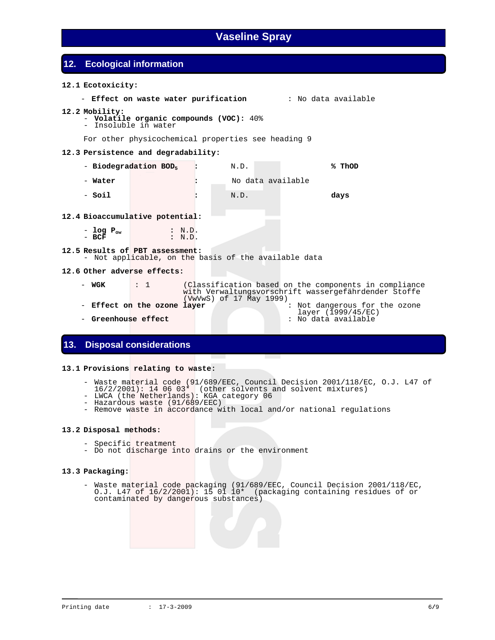## **12. Ecological information**

### **12.1 Ecotoxicity:**

- **Effect on waste water purification** : No data available

### **12.2 Mobility:**

- **Volatile organic compounds (VOC):** 40%
- Insoluble in water

For other physicochemical properties see heading 9

### **12.3 Persistence and degradability:**

- - **Biodegradation BOD5 :** N.D. **% ThOD**  - **Water :** No data available
- - **Soil :** N.D. **days**

### **12.4 Bioaccumulative potential:**

- **log Pow :** N.D. - **BCF :** N.D.

### **12.5 Results of PBT assessment:**

- Not applicable, on the basis of the available data

### **12.6 Other adverse effects:**

- **WGK** : 1 (Classification based on the components in compliance with Verwaltungsvorschrift wassergefährdender Stoffe<br>(VwVwS) of 17 May 1999)
- **Effect on the ozone layer** : Not dangerous for the ozone
- layer (1999/45/EC) **Greenhouse effect** : No data available

### **13. Disposal considerations**

### **13.1 Provisions relating to waste:**

- Waste material code (91/689/EEC, Council Decision 2001/118/EC, O.J. L47 of
	- 16/2/2001): 14 06 03\* (other solvents and solvent mixtures)
	- LWCA (the Netherlands): KGA category 06
		- Hazardous waste (91/689/EEC)
		- Remove waste in accordance with local and/or national regulations

### **13.2 Disposal methods:**

- Specific treatment
- Do not discharge into drains or the environment

### **13.3 Packaging:**

 - Waste material code packaging (91/689/EEC, Council Decision 2001/118/EC, O.J. L47 of 16/2/2001): 15 01 10\* (packaging containing residues of or contaminated by dangerous substances)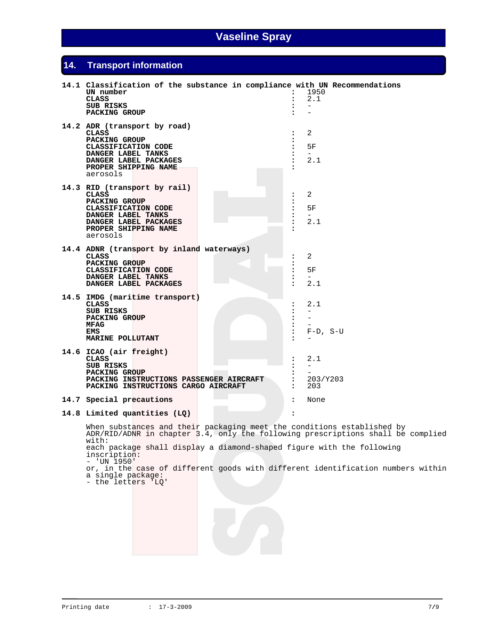# **14. Transport information**

| 14.1 Classification of the substance in compliance with UN Recommendations<br>UN number<br><b>CLASS</b><br>SUB RISKS<br>PACKING GROUP                                                                                                                                                                                                                                                                      | $\ddot{\phantom{a}}$<br>:<br>:<br>$\ddot{\phantom{a}}$                              | 1950<br>2.1                                                                |
|------------------------------------------------------------------------------------------------------------------------------------------------------------------------------------------------------------------------------------------------------------------------------------------------------------------------------------------------------------------------------------------------------------|-------------------------------------------------------------------------------------|----------------------------------------------------------------------------|
| 14.2 ADR (transport by road)<br>CLASS<br>PACKING GROUP<br>CLASSIFICATION CODE<br>DANGER LABEL TANKS<br>DANGER LABEL PACKAGES<br>PROPER SHIPPING NAME<br>aerosols                                                                                                                                                                                                                                           | $\ddot{\phantom{a}}$<br>:<br>:<br>:<br>$\ddot{\phantom{a}}$                         | 2<br>5F<br>$\overline{\phantom{0}}$<br>2.1                                 |
| 14.3 RID (transport by rail)<br>CLASS<br>PACKING GROUP<br>CLASSIFICATION CODE<br>DANGER LABEL TANKS<br>DANGER LABEL PACKAGES<br>PROPER SHIPPING NAME<br>aerosols                                                                                                                                                                                                                                           | $\ddot{\phantom{a}}$<br>:<br>:<br>:<br>$\ddot{\phantom{a}}$<br>$\ddot{\phantom{a}}$ | 2<br>5F<br>$-$<br>2.1                                                      |
| 14.4 ADNR (transport by inland waterways)<br>CLASS<br><b>PACKING GROUP</b><br>CLASSIFICATION CODE<br>DANGER LABEL TANKS<br>DANGER LABEL PACKAGES                                                                                                                                                                                                                                                           | ፡<br>፡<br>$\ddot{\phantom{a}}$<br>$\ddot{\phantom{a}}$<br>$\ddot{\phantom{a}}$      | 2<br>5F<br>2.1                                                             |
| 14.5 IMDG (maritime transport)<br><b>CLASS</b><br><b>SUB RISKS</b><br>PACKING GROUP<br>MFAG<br><b>EMS</b><br><b>MARINE POLLUTANT</b>                                                                                                                                                                                                                                                                       | $\ddot{\phantom{a}}$<br>:<br>:<br>:<br>:                                            | 2.1<br>$\overline{\phantom{0}}$<br>$\overline{\phantom{0}}$<br>$F-D$ , S-U |
| 14.6 ICAO (air freight)<br>CLASS<br>SUB RISKS<br>PACKING GROUP<br>PACKING INSTRUCTIONS PASSENGER AIRCRAFT<br>PACKING INSTRUCTIONS CARGO AIRCRAFT                                                                                                                                                                                                                                                           | :<br>:<br>፡<br>፡<br>$\ddot{\phantom{a}}$                                            | 2.1<br>203/Y203<br>203                                                     |
| 14.7 Special precautions                                                                                                                                                                                                                                                                                                                                                                                   | $\ddot{\phantom{a}}$                                                                | None                                                                       |
| 14.8 Limited quantities (LQ)                                                                                                                                                                                                                                                                                                                                                                               | $\ddot{\phantom{a}}$                                                                |                                                                            |
| When substances and their packaging meet the conditions established by<br>ADR/RID/ADNR in chapter 3.4, only the following prescriptions shall be complied<br>with:<br>each package shall display a diamond-shaped figure with the following<br>inscription:<br>$-$ 'UN 1950'<br>or, in the case of different goods with different identification numbers within<br>a single package:<br>- the letters 'LQ' |                                                                                     |                                                                            |
|                                                                                                                                                                                                                                                                                                                                                                                                            |                                                                                     |                                                                            |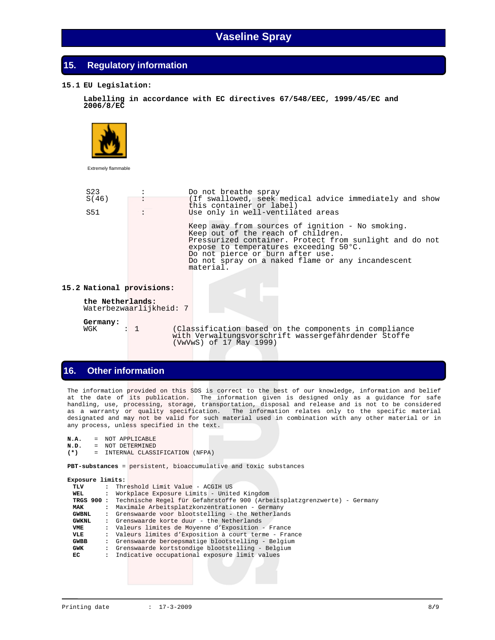### **15. Regulatory information**

### **15.1 EU Legislation:**

 **Labelling in accordance with EC directives 67/548/EEC, 1999/45/EC and 2006/8/EC**



Extremely flammable

| S <sub>23</sub><br>S(46) | :                       | Do not breathe spray<br>(If swallowed, seek medical advice immediately and show<br>this container or label)                                                                                                                                                                                                                            |
|--------------------------|-------------------------|----------------------------------------------------------------------------------------------------------------------------------------------------------------------------------------------------------------------------------------------------------------------------------------------------------------------------------------|
| S51                      |                         | Use only in well-ventilated areas<br>Keep away from sources of ignition - No smoking.<br>Keep out of the reach of children.<br>Pressurized container. Protect from sunlight and do not<br>expose to temperatures exceeding 50°C.<br>Do not pierce or burn after use.<br>Do not spray on a naked flame or any incandescent<br>material. |
|                          | National provisions:    |                                                                                                                                                                                                                                                                                                                                        |
| the Netherlands:         | Waterbezwaarlijkheid: 7 |                                                                                                                                                                                                                                                                                                                                        |

**Germany:**

**15.2 National provisions:**

WGK : 1 (Classification based on the components in compliance with Verwaltungsvorschrift wassergefährdender Stoffe (VwVwS) of 17 May 1999)

### **16. Other information**

The information provided on this SDS is correct to the best of our knowledge, information and belief at the date of its publication. The information given is designed only as a guidance for safe handling, use, processing, storage, transportation, disposal and release and is not to be considered as a warranty or quality specification. The information relates only to the specific material designated and may not be valid for such material used in combination with any other material or in any process, unless specified in the text.

```
N.A. = NOT APPLICABLE<br>N.D. = NOT DETERMINED
N.D. = NOT DETERMINED<br>(*) = INTERNAL CLASS
           (*) = INTERNAL CLASSIFICATION (NFPA)
```
 **PBT-substances** = persistent, bioaccumulative and toxic substances

| Exposure limits: |                      |                                                                                     |
|------------------|----------------------|-------------------------------------------------------------------------------------|
| TLV              | $\mathbf{r}$         | Threshold Limit Value - ACGIH US                                                    |
| WEL              | $\ddot{\phantom{a}}$ | Workplace Exposure Limits - United Kingdom                                          |
|                  |                      | TRGS 900 : Technische Regel für Gefahrstoffe 900 (Arbeitsplatzgrenzwerte) - Germany |
| <b>MAK</b>       |                      | : Maximale Arbeitsplatzkonzentrationen - Germany                                    |
| <b>GWBNL</b>     |                      | : Grenswaarde voor blootstelling - the Netherlands                                  |
| <b>GWKNL</b>     |                      | : Grenswaarde korte duur - the Netherlands                                          |
| VME              |                      | : Valeurs limites de Moyenne d'Exposition - France                                  |
| VLE              |                      | : Valeurs limites d'Exposition à court terme - France                               |
| <b>GWBB</b>      |                      | : Grenswaarde beroepsmatige blootstelling - Belgium                                 |
| GWK              | $\ddot{\phantom{a}}$ | Grenswaarde kortstondige blootstelling - Belgium                                    |
| EC               |                      | : Indicative occupational exposure limit values                                     |
|                  |                      |                                                                                     |